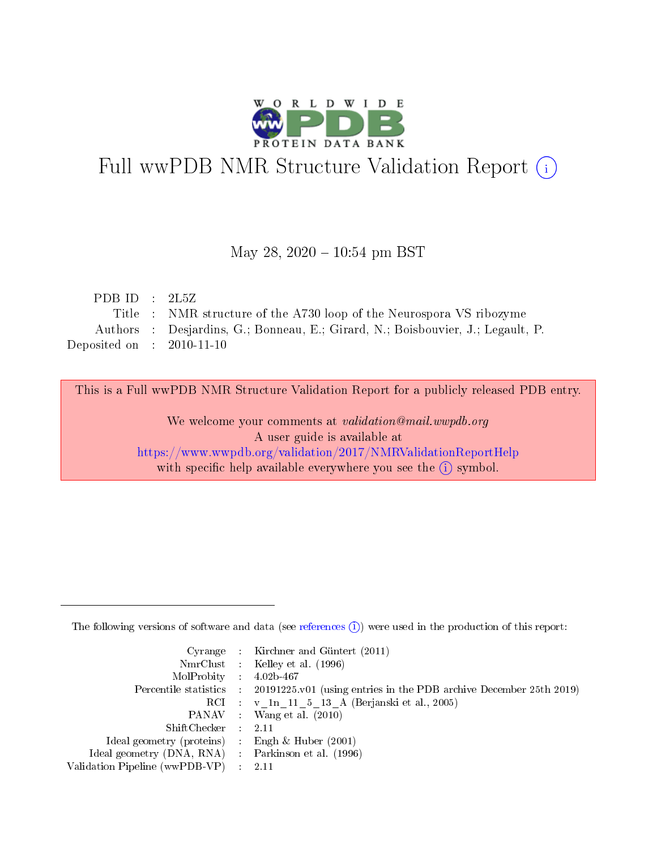

# Full wwPDB NMR Structure Validation Report (i)

## May 28,  $2020 - 10:54$  pm BST

| PDB ID : $2L5Z$                      |                                                                                 |
|--------------------------------------|---------------------------------------------------------------------------------|
|                                      | Title : NMR structure of the A730 loop of the Neurospora VS ribozyme            |
|                                      | Authors : Desjardins, G.; Bonneau, E.; Girard, N.; Boisbouvier, J.; Legault, P. |
| Deposited on $\therefore$ 2010-11-10 |                                                                                 |

This is a Full wwPDB NMR Structure Validation Report for a publicly released PDB entry. We welcome your comments at *validation@mail.wwpdb.org* 

A user guide is available at

<https://www.wwpdb.org/validation/2017/NMRValidationReportHelp> with specific help available everywhere you see the  $(i)$  symbol.

The following versions of software and data (see [references](https://www.wwpdb.org/validation/2017/NMRValidationReportHelp#references)  $(1)$ ) were used in the production of this report:

|                                                     | Cyrange : Kirchner and Güntert $(2011)$                                                    |
|-----------------------------------------------------|--------------------------------------------------------------------------------------------|
|                                                     | NmrClust : Kelley et al. (1996)                                                            |
| $MolProbability$ 4.02b-467                          |                                                                                            |
|                                                     | Percentile statistics : 20191225.v01 (using entries in the PDB archive December 25th 2019) |
|                                                     | RCI : v 1n 11 5 13 A (Berjanski et al., 2005)                                              |
|                                                     | PANAV Wang et al. (2010)                                                                   |
| $ShiftChecker$ 2.11                                 |                                                                                            |
| Ideal geometry (proteins) : Engh $\&$ Huber (2001)  |                                                                                            |
| Ideal geometry (DNA, RNA) : Parkinson et al. (1996) |                                                                                            |
| Validation Pipeline (wwPDB-VP)                      | $\sim 2.11$                                                                                |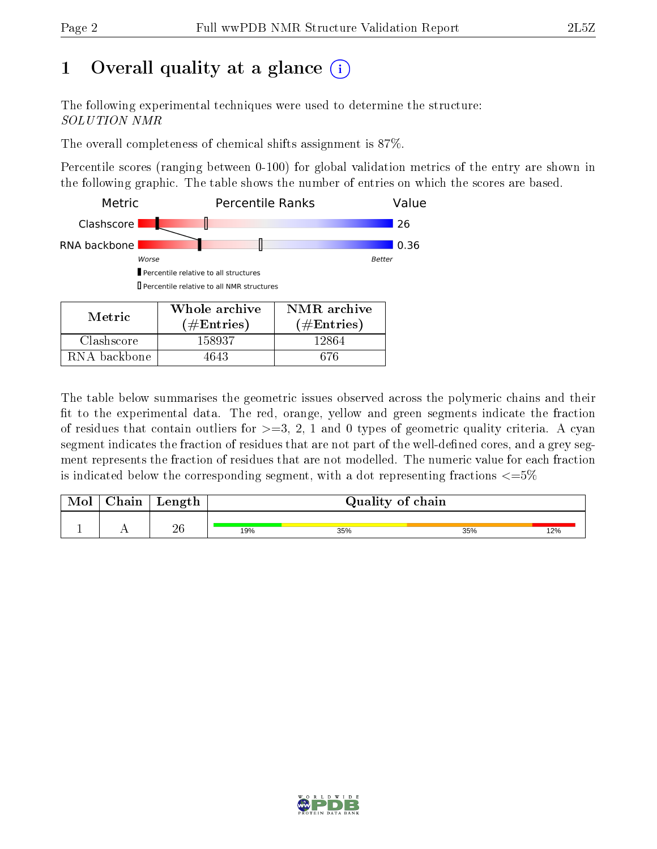# 1 [O](https://www.wwpdb.org/validation/2017/NMRValidationReportHelp#overall_quality)verall quality at a glance  $(i)$

The following experimental techniques were used to determine the structure: SOLUTION NMR

The overall completeness of chemical shifts assignment is 87%.

Percentile scores (ranging between 0-100) for global validation metrics of the entry are shown in the following graphic. The table shows the number of entries on which the scores are based.



RNA backbone | 4643 | 676

The table below summarises the geometric issues observed across the polymeric chains and their fit to the experimental data. The red, orange, yellow and green segments indicate the fraction of residues that contain outliers for  $\geq$ =3, 2, 1 and 0 types of geometric quality criteria. A cyan segment indicates the fraction of residues that are not part of the well-defined cores, and a grey segment represents the fraction of residues that are not modelled. The numeric value for each fraction is indicated below the corresponding segment, with a dot representing fractions  $\epsilon = 5\%$ 

| $\gamma$ hain | Length  | Quality of chain |     |     |     |
|---------------|---------|------------------|-----|-----|-----|
|               | ഹ<br>∠∪ | 19%              | 35% | 35% | 12% |

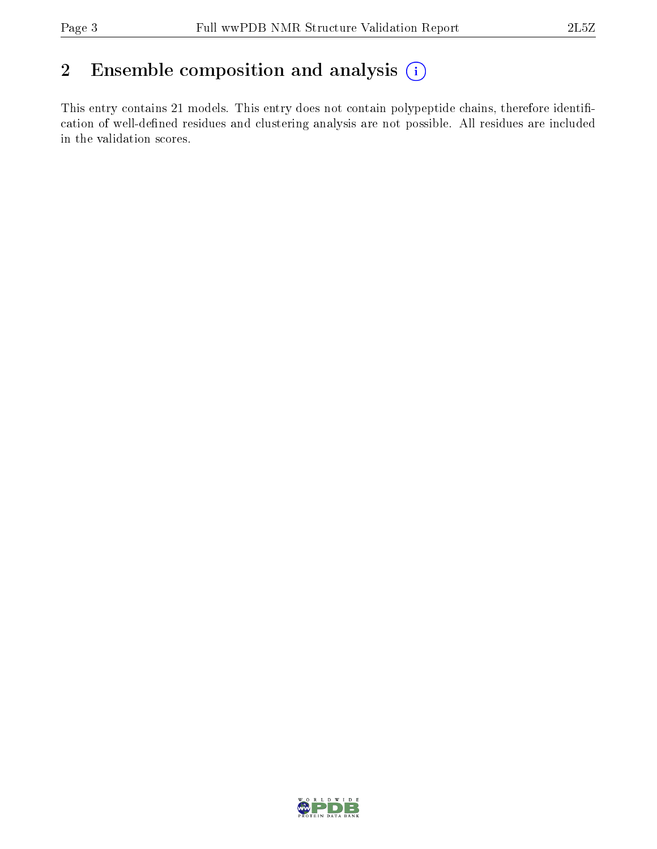# 2 Ensemble composition and analysis  $(i)$

This entry contains 21 models. This entry does not contain polypeptide chains, therefore identification of well-defined residues and clustering analysis are not possible. All residues are included in the validation scores.

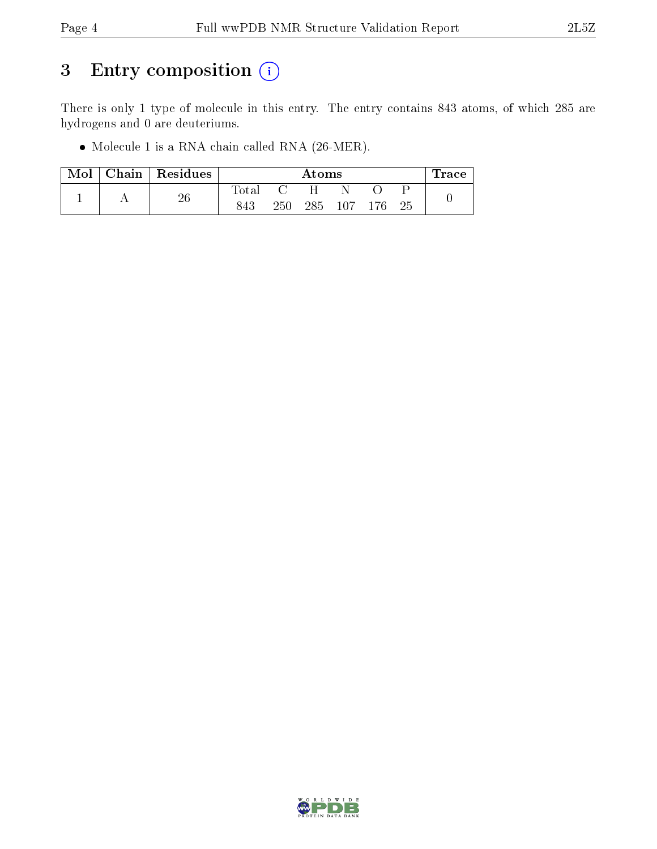# 3 Entry composition (i)

There is only 1 type of molecule in this entry. The entry contains 843 atoms, of which 285 are hydrogens and 0 are deuteriums.

Molecule 1 is a RNA chain called RNA (26-MER).

| Mol | $Chain   Residues$ |       | $\rm{Atoms}$ |   |             |  | race + |  |
|-----|--------------------|-------|--------------|---|-------------|--|--------|--|
|     | 26                 | Total |              | H |             |  |        |  |
|     |                    | 843   | 250          |   | 285 107 176 |  | -25    |  |

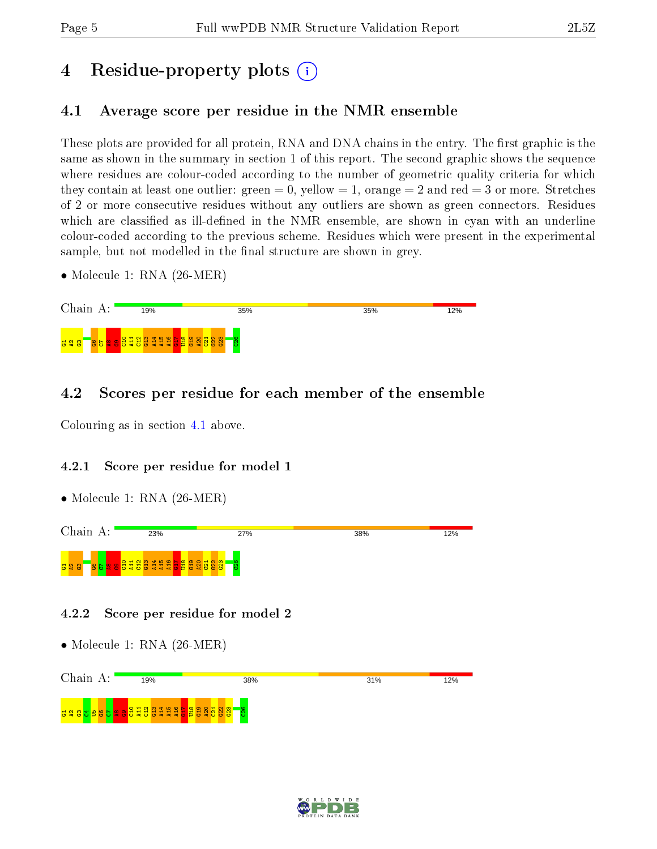# 4 Residue-property plots  $\binom{1}{1}$

# <span id="page-4-0"></span>4.1 Average score per residue in the NMR ensemble

These plots are provided for all protein, RNA and DNA chains in the entry. The first graphic is the same as shown in the summary in section 1 of this report. The second graphic shows the sequence where residues are colour-coded according to the number of geometric quality criteria for which they contain at least one outlier: green  $= 0$ , yellow  $= 1$ , orange  $= 2$  and red  $= 3$  or more. Stretches of 2 or more consecutive residues without any outliers are shown as green connectors. Residues which are classified as ill-defined in the NMR ensemble, are shown in cyan with an underline colour-coded according to the previous scheme. Residues which were present in the experimental sample, but not modelled in the final structure are shown in grey.

• Molecule 1: RNA (26-MER)



# 4.2 Scores per residue for each member of the ensemble

Colouring as in section [4.1](#page-4-0) above.

• Molecule 1: RNA (26-MER)

## 4.2.1 Score per residue for model 1

Chain A: 23% 38% 12% 27%  $\frac{8}{10}$ <u>표임</u>엺럞当의  $\Xi$  $\frac{8}{15}$  $\frac{9}{2}$  $\frac{8}{4}$  $\frac{51}{2}$  $\frac{22}{2}$  $\frac{23}{5}$  $\frac{8}{2}$ B<mark>52</mark> 82 5 ဒ္မ

## 4.2.2 Score per residue for model 2



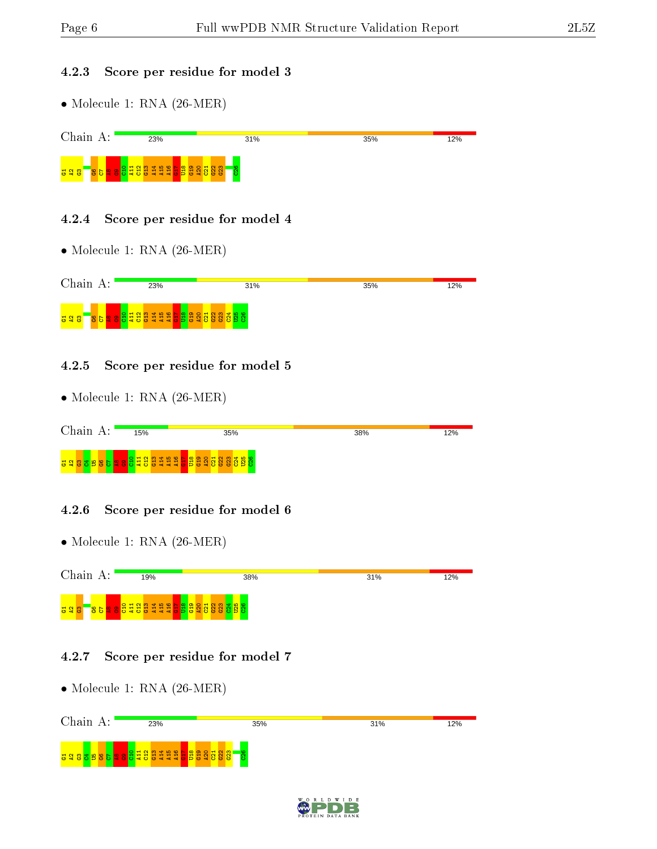### 4.2.3 Score per residue for model 3

• Molecule 1: RNA (26-MER)

| Chain $A:$                | 23%                                                                | 31% | 35% | 12% |
|---------------------------|--------------------------------------------------------------------|-----|-----|-----|
| <b>급 알 않</b>              | <mark>ទេ៦ ឌុខ</mark> មិដ្ឋមិន្ទ្ទីដូឌី ភូមិន្ទ្រី ខ្លួន ខ្លួន ខ្លួ | C26 |     |     |
| 4.2.4                     | Score per residue for model 4                                      |     |     |     |
|                           | • Molecule 1: $\text{RNA}$ (26-MER)                                |     |     |     |
| Chain A:                  | 23%                                                                | 31% | 35% | 12% |
| 225<br><mark>등 알 않</mark> |                                                                    |     |     |     |
|                           |                                                                    |     |     |     |
| 4.2.5                     | Score per residue for model 5                                      |     |     |     |
|                           | • Molecule 1: $\text{RNA}$ (26-MER)                                |     |     |     |

| $\Delta$ hain                    | 15% | 35%                        | 38% | 12% |
|----------------------------------|-----|----------------------------|-----|-----|
| $H$ $N$<br>15<br>$\circ$ $\circ$ |     | <b>Haaaaaa</b> aaaaaaaaaaa |     |     |

#### 4.2.6 Score per residue for model 6

• Molecule 1: RNA (26-MER)



## 4.2.7 Score per residue for model 7



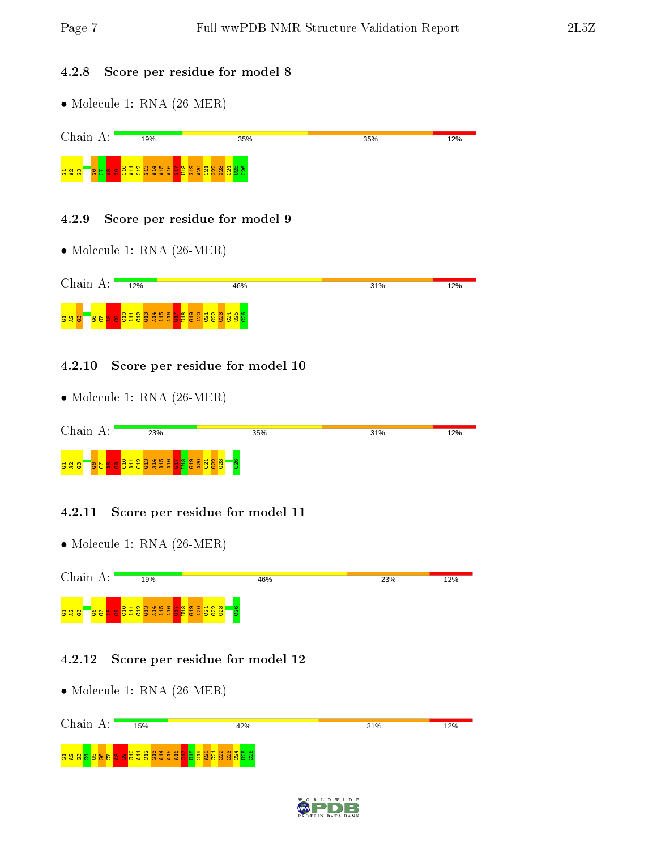# 4.2.8 Score per residue for model 8

• Molecule 1: RNA (26-MER)



# 4.2.9 Score per residue for model 9

• Molecule 1: RNA (26-MER)

| Chain A:           | 12% | 46%                                                                             | 31% | 12% |
|--------------------|-----|---------------------------------------------------------------------------------|-----|-----|
| <mark>등 알 않</mark> |     | <mark>195299</mark> 8 ដូងមិន្ទ្ទីដូងមិន្ទ្រីទី១១ ដូ <mark>ន្ទីនីនីនីនីនី</mark> |     |     |

# 4.2.10 Score per residue for model 10

• Molecule 1: RNA (26-MER)

| Chain A:           | 23%                                                  | 35%        | 31% | 12% |
|--------------------|------------------------------------------------------|------------|-----|-----|
| <mark>풍 알 않</mark> | 195 <mark>99</mark> 83183193193193183 <mark>5</mark> | <b>C26</b> |     |     |

# 4.2.11 Score per residue for model 11

• Molecule 1: RNA (26-MER)



# 4.2.12 Score per residue for model 12



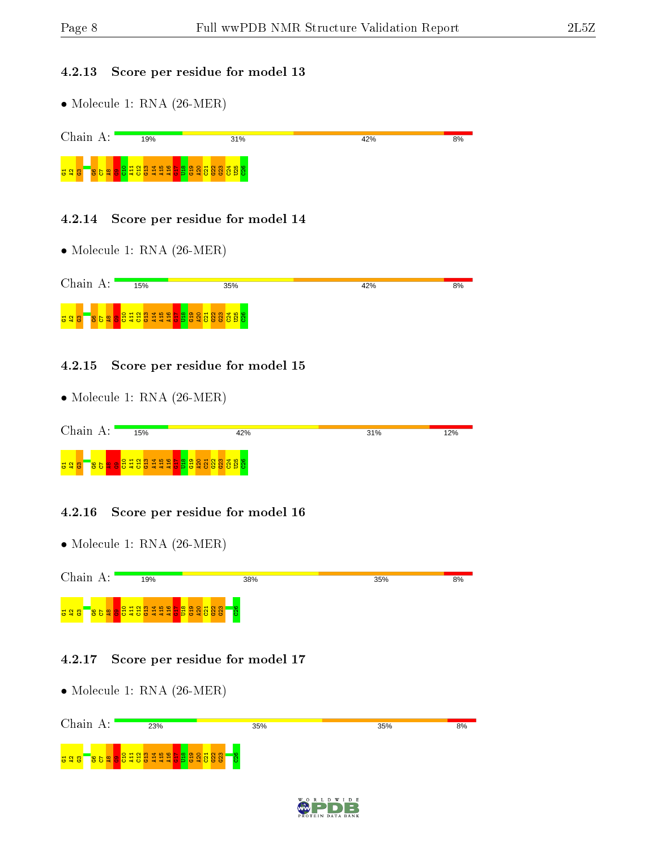#### 4.2.13 Score per residue for model 13

• Molecule 1: RNA (26-MER)



#### 4.2.14 Score per residue for model 14

• Molecule 1: RNA (26-MER)

|--|

#### 4.2.15 Score per residue for model 15

• Molecule 1: RNA (26-MER)

| Chain.<br>А:     | 15% | 42% | 31% | 12% |
|------------------|-----|-----|-----|-----|
| <mark>공학영</mark> |     |     |     |     |

#### 4.2.16 Score per residue for model 16

• Molecule 1: RNA (26-MER)



#### 4.2.17 Score per residue for model 17



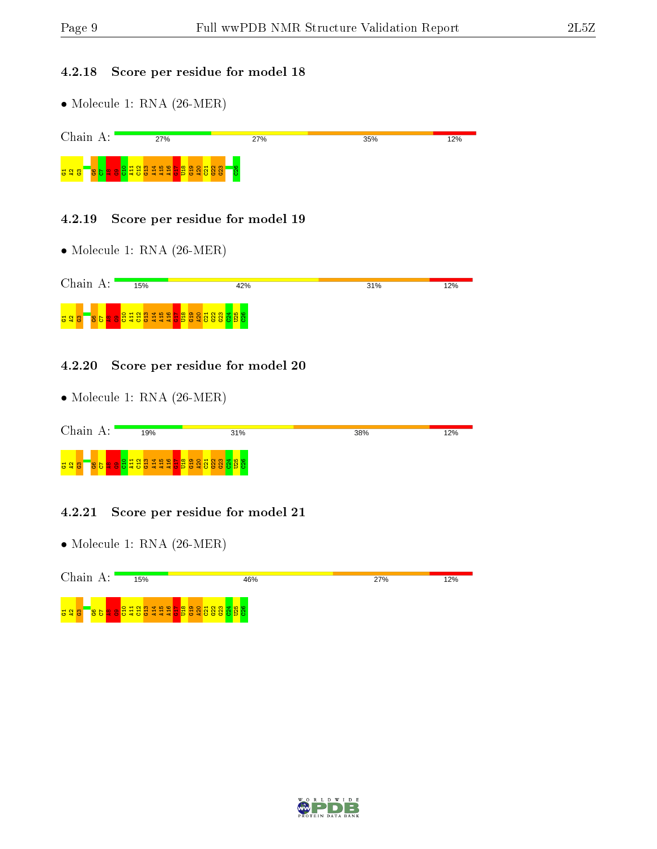### 4.2.18 Score per residue for model 18

• Molecule 1: RNA (26-MER)

| Chain<br>А:                                            | 27%                                         | 27% | 35% | 12% |
|--------------------------------------------------------|---------------------------------------------|-----|-----|-----|
| ះទ <mark>ី</mark> ទី<br><mark>등 약 않</mark><br>38<br>a. | <u>ដូមូឌូឌីឌីឌី ដី ដី ដី ដី ដី ដី ដី ដី</u> | C26 |     |     |

#### 4.2.19 Score per residue for model 19

• Molecule 1: RNA (26-MER)

| Chain<br>А:        | 15% | 42%                                           | 31% | 12% |
|--------------------|-----|-----------------------------------------------|-----|-----|
| <mark>등 약 양</mark> |     | <mark>issa s</mark> etteet aan algemaaksi sek |     |     |

#### 4.2.20 Score per residue for model 20

• Molecule 1: RNA (26-MER)

## 4.2.21 Score per residue for model 21

| Chain<br>А:      | 15% | 46%                                                                                                    | 27% | 12% |
|------------------|-----|--------------------------------------------------------------------------------------------------------|-----|-----|
| <mark>공학영</mark> |     | <mark>ីនេទ <mark>ឌ ន</mark> ឱ ដូ ដូ ដូ ដូ ដូ ដូ ដូ ដូ ដូ នី នី នី នី នី នី នី នី នី នី នី នី នី</mark> |     |     |

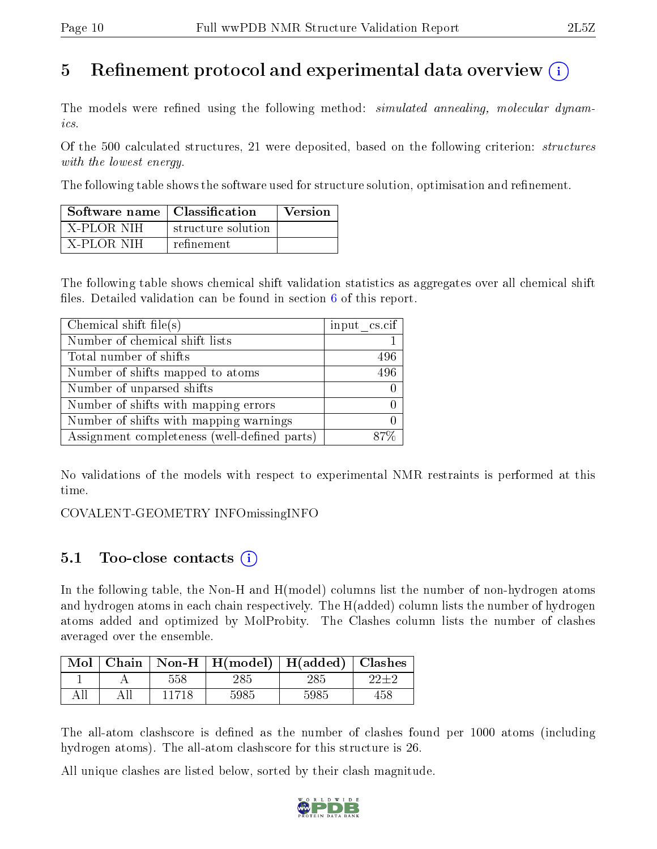# 5 Refinement protocol and experimental data overview  $\left( \cdot \right)$

The models were refined using the following method: simulated annealing, molecular dynamics.

Of the 500 calculated structures, 21 were deposited, based on the following criterion: *structures* with the lowest energy.

The following table shows the software used for structure solution, optimisation and refinement.

| Software name   Classification |                    | Version |
|--------------------------------|--------------------|---------|
| - X-PLOR NIH                   | structure solution |         |
| - X-PLOR NIH                   | refinement         |         |

The following table shows chemical shift validation statistics as aggregates over all chemical shift files. Detailed validation can be found in section  $6$  of this report.

| Chemical shift file(s)                       | input cs.cif |
|----------------------------------------------|--------------|
| Number of chemical shift lists               |              |
| Total number of shifts                       | 496          |
| Number of shifts mapped to atoms             | 496          |
| Number of unparsed shifts                    |              |
| Number of shifts with mapping errors         |              |
| Number of shifts with mapping warnings       |              |
| Assignment completeness (well-defined parts) |              |

No validations of the models with respect to experimental NMR restraints is performed at this time.

COVALENT-GEOMETRY INFOmissingINFO

# $5.1$  Too-close contacts  $(i)$

In the following table, the Non-H and H(model) columns list the number of non-hydrogen atoms and hydrogen atoms in each chain respectively. The H(added) column lists the number of hydrogen atoms added and optimized by MolProbity. The Clashes column lists the number of clashes averaged over the ensemble.

| Mol |     | Chain   Non-H   H(model)   H(added)   Clashes |      |     |
|-----|-----|-----------------------------------------------|------|-----|
|     | 558 |                                               | 285  |     |
|     |     | 5985                                          | 5985 | 458 |

The all-atom clashscore is defined as the number of clashes found per 1000 atoms (including hydrogen atoms). The all-atom clashscore for this structure is 26.

All unique clashes are listed below, sorted by their clash magnitude.

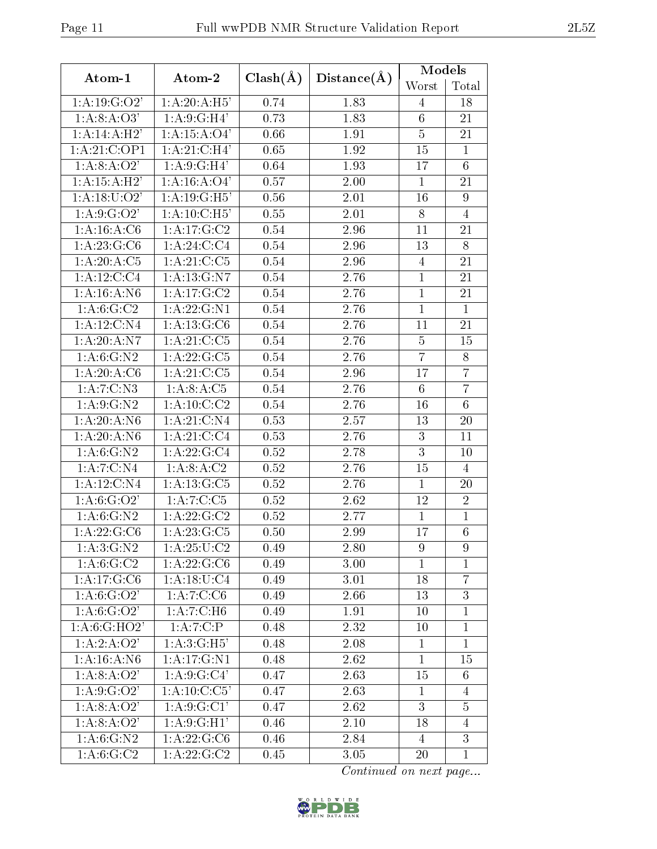| Worst<br>Total<br>$1:\overline{A:19:G:O2'}$<br>1:A:20:A:H5'<br>0.74<br>1.83<br>18<br>$\overline{4}$<br>1:A:8:A:O3'<br>1:A:9:G:H4'<br>0.73<br>1.83<br>$6\phantom{.}6$<br>21<br>1: A: 15: A: O4'<br>$\overline{5}$<br>1:A:14:A:H2'<br>0.66<br>1.91<br>21<br>1:A:21:C:OP1<br>1:A:21:C:H4'<br>0.65<br>1.92<br>15<br>$\mathbf{1}$<br>1: A:8: A:O2'<br>1:A:9:G:H4<br>0.64<br>$\overline{1.93}$<br>$6\phantom{.}6$<br>17<br>1: A:15: A:H2'<br>1: A: 16: A: O4'<br>0.57<br>2.00<br>21<br>$\mathbf{1}$<br>1: A: 18: U: O2'<br>1:A:19:G:H5'<br>0.56<br>2.01<br>16<br>$\overline{9}$<br>1: A:9: G:O2'<br>1:A:10:C:H5'<br>0.55<br>2.01<br>8<br>$\overline{4}$<br>1: A: 16: A: C6<br>$1:A:17:\overline{G:C2}$<br>$0.\overline{54}$<br>2.96<br>11<br>21<br>1: A: 23: G: C6<br>1:A:24:C:C4<br>0.54<br>2.96<br>13<br>8<br>1: A:20:A:C5<br>1: A:21: C: C5<br>0.54<br>2.96<br>$\overline{4}$<br>21<br>1: A: 12: C: C4<br>1: A: 13: G: N7<br>$\mathbf{1}$<br>0.54<br>21<br>2.76<br>1:A:17:G:C2<br>0.54<br>1: A: 16: A: N6<br>2.76<br>$\mathbf{1}$<br>21<br>1: A:6: G: C2<br>1: A: 22: G: N1<br>0.54<br>2.76<br>$\mathbf{1}$<br>$\mathbf{1}$<br>$1:$ A:12:C:N4<br>1: A: 13: G: C6<br>0.54<br>2.76<br>21<br>11<br>1: A:21: C: C5<br>1:A:20:A:N7<br>$\overline{5}$<br>0.54<br>2.76<br>15<br>1: A: 22: G: C5<br>$\overline{7}$<br>1: A:6: G: N2<br>0.54<br>2.76<br>8<br>1: A:20:A:C6<br>1: A:21:C:C5<br>0.54<br>2.96<br>$\overline{7}$<br>17<br>1: A:8:A:C5<br>1:A:7:C:N3<br>2.76<br>$\overline{7}$<br>0.54<br>$6\phantom{.}6$<br>1: A:9: G:N2<br>1:A:10:C:C2<br>0.54<br>2.76<br>$6\phantom{.}6$<br>16<br>1:A:20:A:N6<br>1: A:21: C: N4<br>0.53<br>2.57<br>13<br>20<br>1:A:20:A:N6<br>1: A:21:C:C4<br>0.53<br>2.76<br>3<br>11<br>3<br>1: A:6: G: N2<br>1: A: 22: G: C4<br>0.52<br>2.78<br>10<br>1:A:7:C:N4<br>1: A:8:A:C2<br>0.52<br>2.76<br>15<br>$\overline{4}$<br>1:A:12:C:N4<br>1: A: 13: G: C5<br>0.52<br>2.76<br>$20\,$<br>$\mathbf{1}$<br>1: A:6: G:O2'<br>$1:A:7:\overline{C:C5}$<br>2.62<br>0.52<br>$\overline{2}$<br>12<br>1: A:22: G:C2<br>1: A:6: G:N2<br>0.52<br>2.77<br>$\mathbf{1}$<br>$\mathbf{1}$<br>1:A:22:G:C6<br>1: A:23: G: C5<br>0.50<br>2.99<br>$6\phantom{.}6$<br>17<br>1: A:3: G:N2<br>1: A:25:U:C2<br>0.49<br>$\overline{2.80}$<br>$\overline{9}$<br>$\overline{9}$<br>1: A: 22: G: C6<br>1: A:6: G:C2<br>0.49<br>$\mathbf{1}$<br>3.00<br>$\mathbf{1}$<br>1: A:17: G: C6<br>$\overline{7}$<br>1: A: 18: U: C4<br>18<br>0.49<br>3.01<br>1: A:6: G:O2'<br>1:A:7:C:C6<br>0.49<br>2.66<br>13<br>3<br>1: A:6: G:O2'<br>1:A:7:C:H6<br>1.91<br>0.49<br>10<br>$\mathbf{1}$<br>1: A:6: G:HO2'<br>1:A:7:C:P<br>0.48<br>2.32<br>10<br>$\mathbf{1}$<br>1:A:2:A:O2'<br>1: A:3: G:H5'<br>0.48<br>2.08<br>$\mathbf{1}$<br>$\mathbf{1}$<br>1:A:16:A:N6<br>1: A: 17: G: N1<br>2.62<br>0.48<br>$\mathbf{1}$<br>15<br>1: A:9: G: C4'<br>1:A:8:A:O2'<br>2.63<br>0.47<br>15<br>6<br>1: A:9: G:O2'<br>1: A:10: C: C5'<br>0.47<br>2.63<br>$\mathbf{1}$<br>4<br>$1:\overline{A:9:G:C1'}$<br>1: A:8: A:O2'<br>$\overline{3}$<br>2.62<br>0.47<br>$\overline{5}$<br>1:A:8:A:O2'<br>1: A:9: G:H1'<br>0.46<br>2.10<br>18<br>4 | Atom-1        | $Distance(\AA)$<br>Atom-2 | Models       |      |                |   |
|-----------------------------------------------------------------------------------------------------------------------------------------------------------------------------------------------------------------------------------------------------------------------------------------------------------------------------------------------------------------------------------------------------------------------------------------------------------------------------------------------------------------------------------------------------------------------------------------------------------------------------------------------------------------------------------------------------------------------------------------------------------------------------------------------------------------------------------------------------------------------------------------------------------------------------------------------------------------------------------------------------------------------------------------------------------------------------------------------------------------------------------------------------------------------------------------------------------------------------------------------------------------------------------------------------------------------------------------------------------------------------------------------------------------------------------------------------------------------------------------------------------------------------------------------------------------------------------------------------------------------------------------------------------------------------------------------------------------------------------------------------------------------------------------------------------------------------------------------------------------------------------------------------------------------------------------------------------------------------------------------------------------------------------------------------------------------------------------------------------------------------------------------------------------------------------------------------------------------------------------------------------------------------------------------------------------------------------------------------------------------------------------------------------------------------------------------------------------------------------------------------------------------------------------------------------------------------------------------------------------------------------------------------------------------------------------------------------------------------------------------------------------------------------------------------------------------------------------------------------------------------------------------------------------------------------------------------------------------------------------------------------------------------------------------------------------------------------------------------|---------------|---------------------------|--------------|------|----------------|---|
|                                                                                                                                                                                                                                                                                                                                                                                                                                                                                                                                                                                                                                                                                                                                                                                                                                                                                                                                                                                                                                                                                                                                                                                                                                                                                                                                                                                                                                                                                                                                                                                                                                                                                                                                                                                                                                                                                                                                                                                                                                                                                                                                                                                                                                                                                                                                                                                                                                                                                                                                                                                                                                                                                                                                                                                                                                                                                                                                                                                                                                                                                                     |               |                           | $Clash(\AA)$ |      |                |   |
|                                                                                                                                                                                                                                                                                                                                                                                                                                                                                                                                                                                                                                                                                                                                                                                                                                                                                                                                                                                                                                                                                                                                                                                                                                                                                                                                                                                                                                                                                                                                                                                                                                                                                                                                                                                                                                                                                                                                                                                                                                                                                                                                                                                                                                                                                                                                                                                                                                                                                                                                                                                                                                                                                                                                                                                                                                                                                                                                                                                                                                                                                                     |               |                           |              |      |                |   |
|                                                                                                                                                                                                                                                                                                                                                                                                                                                                                                                                                                                                                                                                                                                                                                                                                                                                                                                                                                                                                                                                                                                                                                                                                                                                                                                                                                                                                                                                                                                                                                                                                                                                                                                                                                                                                                                                                                                                                                                                                                                                                                                                                                                                                                                                                                                                                                                                                                                                                                                                                                                                                                                                                                                                                                                                                                                                                                                                                                                                                                                                                                     |               |                           |              |      |                |   |
|                                                                                                                                                                                                                                                                                                                                                                                                                                                                                                                                                                                                                                                                                                                                                                                                                                                                                                                                                                                                                                                                                                                                                                                                                                                                                                                                                                                                                                                                                                                                                                                                                                                                                                                                                                                                                                                                                                                                                                                                                                                                                                                                                                                                                                                                                                                                                                                                                                                                                                                                                                                                                                                                                                                                                                                                                                                                                                                                                                                                                                                                                                     |               |                           |              |      |                |   |
|                                                                                                                                                                                                                                                                                                                                                                                                                                                                                                                                                                                                                                                                                                                                                                                                                                                                                                                                                                                                                                                                                                                                                                                                                                                                                                                                                                                                                                                                                                                                                                                                                                                                                                                                                                                                                                                                                                                                                                                                                                                                                                                                                                                                                                                                                                                                                                                                                                                                                                                                                                                                                                                                                                                                                                                                                                                                                                                                                                                                                                                                                                     |               |                           |              |      |                |   |
|                                                                                                                                                                                                                                                                                                                                                                                                                                                                                                                                                                                                                                                                                                                                                                                                                                                                                                                                                                                                                                                                                                                                                                                                                                                                                                                                                                                                                                                                                                                                                                                                                                                                                                                                                                                                                                                                                                                                                                                                                                                                                                                                                                                                                                                                                                                                                                                                                                                                                                                                                                                                                                                                                                                                                                                                                                                                                                                                                                                                                                                                                                     |               |                           |              |      |                |   |
|                                                                                                                                                                                                                                                                                                                                                                                                                                                                                                                                                                                                                                                                                                                                                                                                                                                                                                                                                                                                                                                                                                                                                                                                                                                                                                                                                                                                                                                                                                                                                                                                                                                                                                                                                                                                                                                                                                                                                                                                                                                                                                                                                                                                                                                                                                                                                                                                                                                                                                                                                                                                                                                                                                                                                                                                                                                                                                                                                                                                                                                                                                     |               |                           |              |      |                |   |
|                                                                                                                                                                                                                                                                                                                                                                                                                                                                                                                                                                                                                                                                                                                                                                                                                                                                                                                                                                                                                                                                                                                                                                                                                                                                                                                                                                                                                                                                                                                                                                                                                                                                                                                                                                                                                                                                                                                                                                                                                                                                                                                                                                                                                                                                                                                                                                                                                                                                                                                                                                                                                                                                                                                                                                                                                                                                                                                                                                                                                                                                                                     |               |                           |              |      |                |   |
|                                                                                                                                                                                                                                                                                                                                                                                                                                                                                                                                                                                                                                                                                                                                                                                                                                                                                                                                                                                                                                                                                                                                                                                                                                                                                                                                                                                                                                                                                                                                                                                                                                                                                                                                                                                                                                                                                                                                                                                                                                                                                                                                                                                                                                                                                                                                                                                                                                                                                                                                                                                                                                                                                                                                                                                                                                                                                                                                                                                                                                                                                                     |               |                           |              |      |                |   |
|                                                                                                                                                                                                                                                                                                                                                                                                                                                                                                                                                                                                                                                                                                                                                                                                                                                                                                                                                                                                                                                                                                                                                                                                                                                                                                                                                                                                                                                                                                                                                                                                                                                                                                                                                                                                                                                                                                                                                                                                                                                                                                                                                                                                                                                                                                                                                                                                                                                                                                                                                                                                                                                                                                                                                                                                                                                                                                                                                                                                                                                                                                     |               |                           |              |      |                |   |
|                                                                                                                                                                                                                                                                                                                                                                                                                                                                                                                                                                                                                                                                                                                                                                                                                                                                                                                                                                                                                                                                                                                                                                                                                                                                                                                                                                                                                                                                                                                                                                                                                                                                                                                                                                                                                                                                                                                                                                                                                                                                                                                                                                                                                                                                                                                                                                                                                                                                                                                                                                                                                                                                                                                                                                                                                                                                                                                                                                                                                                                                                                     |               |                           |              |      |                |   |
|                                                                                                                                                                                                                                                                                                                                                                                                                                                                                                                                                                                                                                                                                                                                                                                                                                                                                                                                                                                                                                                                                                                                                                                                                                                                                                                                                                                                                                                                                                                                                                                                                                                                                                                                                                                                                                                                                                                                                                                                                                                                                                                                                                                                                                                                                                                                                                                                                                                                                                                                                                                                                                                                                                                                                                                                                                                                                                                                                                                                                                                                                                     |               |                           |              |      |                |   |
|                                                                                                                                                                                                                                                                                                                                                                                                                                                                                                                                                                                                                                                                                                                                                                                                                                                                                                                                                                                                                                                                                                                                                                                                                                                                                                                                                                                                                                                                                                                                                                                                                                                                                                                                                                                                                                                                                                                                                                                                                                                                                                                                                                                                                                                                                                                                                                                                                                                                                                                                                                                                                                                                                                                                                                                                                                                                                                                                                                                                                                                                                                     |               |                           |              |      |                |   |
|                                                                                                                                                                                                                                                                                                                                                                                                                                                                                                                                                                                                                                                                                                                                                                                                                                                                                                                                                                                                                                                                                                                                                                                                                                                                                                                                                                                                                                                                                                                                                                                                                                                                                                                                                                                                                                                                                                                                                                                                                                                                                                                                                                                                                                                                                                                                                                                                                                                                                                                                                                                                                                                                                                                                                                                                                                                                                                                                                                                                                                                                                                     |               |                           |              |      |                |   |
|                                                                                                                                                                                                                                                                                                                                                                                                                                                                                                                                                                                                                                                                                                                                                                                                                                                                                                                                                                                                                                                                                                                                                                                                                                                                                                                                                                                                                                                                                                                                                                                                                                                                                                                                                                                                                                                                                                                                                                                                                                                                                                                                                                                                                                                                                                                                                                                                                                                                                                                                                                                                                                                                                                                                                                                                                                                                                                                                                                                                                                                                                                     |               |                           |              |      |                |   |
|                                                                                                                                                                                                                                                                                                                                                                                                                                                                                                                                                                                                                                                                                                                                                                                                                                                                                                                                                                                                                                                                                                                                                                                                                                                                                                                                                                                                                                                                                                                                                                                                                                                                                                                                                                                                                                                                                                                                                                                                                                                                                                                                                                                                                                                                                                                                                                                                                                                                                                                                                                                                                                                                                                                                                                                                                                                                                                                                                                                                                                                                                                     |               |                           |              |      |                |   |
|                                                                                                                                                                                                                                                                                                                                                                                                                                                                                                                                                                                                                                                                                                                                                                                                                                                                                                                                                                                                                                                                                                                                                                                                                                                                                                                                                                                                                                                                                                                                                                                                                                                                                                                                                                                                                                                                                                                                                                                                                                                                                                                                                                                                                                                                                                                                                                                                                                                                                                                                                                                                                                                                                                                                                                                                                                                                                                                                                                                                                                                                                                     |               |                           |              |      |                |   |
|                                                                                                                                                                                                                                                                                                                                                                                                                                                                                                                                                                                                                                                                                                                                                                                                                                                                                                                                                                                                                                                                                                                                                                                                                                                                                                                                                                                                                                                                                                                                                                                                                                                                                                                                                                                                                                                                                                                                                                                                                                                                                                                                                                                                                                                                                                                                                                                                                                                                                                                                                                                                                                                                                                                                                                                                                                                                                                                                                                                                                                                                                                     |               |                           |              |      |                |   |
|                                                                                                                                                                                                                                                                                                                                                                                                                                                                                                                                                                                                                                                                                                                                                                                                                                                                                                                                                                                                                                                                                                                                                                                                                                                                                                                                                                                                                                                                                                                                                                                                                                                                                                                                                                                                                                                                                                                                                                                                                                                                                                                                                                                                                                                                                                                                                                                                                                                                                                                                                                                                                                                                                                                                                                                                                                                                                                                                                                                                                                                                                                     |               |                           |              |      |                |   |
|                                                                                                                                                                                                                                                                                                                                                                                                                                                                                                                                                                                                                                                                                                                                                                                                                                                                                                                                                                                                                                                                                                                                                                                                                                                                                                                                                                                                                                                                                                                                                                                                                                                                                                                                                                                                                                                                                                                                                                                                                                                                                                                                                                                                                                                                                                                                                                                                                                                                                                                                                                                                                                                                                                                                                                                                                                                                                                                                                                                                                                                                                                     |               |                           |              |      |                |   |
|                                                                                                                                                                                                                                                                                                                                                                                                                                                                                                                                                                                                                                                                                                                                                                                                                                                                                                                                                                                                                                                                                                                                                                                                                                                                                                                                                                                                                                                                                                                                                                                                                                                                                                                                                                                                                                                                                                                                                                                                                                                                                                                                                                                                                                                                                                                                                                                                                                                                                                                                                                                                                                                                                                                                                                                                                                                                                                                                                                                                                                                                                                     |               |                           |              |      |                |   |
|                                                                                                                                                                                                                                                                                                                                                                                                                                                                                                                                                                                                                                                                                                                                                                                                                                                                                                                                                                                                                                                                                                                                                                                                                                                                                                                                                                                                                                                                                                                                                                                                                                                                                                                                                                                                                                                                                                                                                                                                                                                                                                                                                                                                                                                                                                                                                                                                                                                                                                                                                                                                                                                                                                                                                                                                                                                                                                                                                                                                                                                                                                     |               |                           |              |      |                |   |
|                                                                                                                                                                                                                                                                                                                                                                                                                                                                                                                                                                                                                                                                                                                                                                                                                                                                                                                                                                                                                                                                                                                                                                                                                                                                                                                                                                                                                                                                                                                                                                                                                                                                                                                                                                                                                                                                                                                                                                                                                                                                                                                                                                                                                                                                                                                                                                                                                                                                                                                                                                                                                                                                                                                                                                                                                                                                                                                                                                                                                                                                                                     |               |                           |              |      |                |   |
|                                                                                                                                                                                                                                                                                                                                                                                                                                                                                                                                                                                                                                                                                                                                                                                                                                                                                                                                                                                                                                                                                                                                                                                                                                                                                                                                                                                                                                                                                                                                                                                                                                                                                                                                                                                                                                                                                                                                                                                                                                                                                                                                                                                                                                                                                                                                                                                                                                                                                                                                                                                                                                                                                                                                                                                                                                                                                                                                                                                                                                                                                                     |               |                           |              |      |                |   |
|                                                                                                                                                                                                                                                                                                                                                                                                                                                                                                                                                                                                                                                                                                                                                                                                                                                                                                                                                                                                                                                                                                                                                                                                                                                                                                                                                                                                                                                                                                                                                                                                                                                                                                                                                                                                                                                                                                                                                                                                                                                                                                                                                                                                                                                                                                                                                                                                                                                                                                                                                                                                                                                                                                                                                                                                                                                                                                                                                                                                                                                                                                     |               |                           |              |      |                |   |
|                                                                                                                                                                                                                                                                                                                                                                                                                                                                                                                                                                                                                                                                                                                                                                                                                                                                                                                                                                                                                                                                                                                                                                                                                                                                                                                                                                                                                                                                                                                                                                                                                                                                                                                                                                                                                                                                                                                                                                                                                                                                                                                                                                                                                                                                                                                                                                                                                                                                                                                                                                                                                                                                                                                                                                                                                                                                                                                                                                                                                                                                                                     |               |                           |              |      |                |   |
|                                                                                                                                                                                                                                                                                                                                                                                                                                                                                                                                                                                                                                                                                                                                                                                                                                                                                                                                                                                                                                                                                                                                                                                                                                                                                                                                                                                                                                                                                                                                                                                                                                                                                                                                                                                                                                                                                                                                                                                                                                                                                                                                                                                                                                                                                                                                                                                                                                                                                                                                                                                                                                                                                                                                                                                                                                                                                                                                                                                                                                                                                                     |               |                           |              |      |                |   |
|                                                                                                                                                                                                                                                                                                                                                                                                                                                                                                                                                                                                                                                                                                                                                                                                                                                                                                                                                                                                                                                                                                                                                                                                                                                                                                                                                                                                                                                                                                                                                                                                                                                                                                                                                                                                                                                                                                                                                                                                                                                                                                                                                                                                                                                                                                                                                                                                                                                                                                                                                                                                                                                                                                                                                                                                                                                                                                                                                                                                                                                                                                     |               |                           |              |      |                |   |
|                                                                                                                                                                                                                                                                                                                                                                                                                                                                                                                                                                                                                                                                                                                                                                                                                                                                                                                                                                                                                                                                                                                                                                                                                                                                                                                                                                                                                                                                                                                                                                                                                                                                                                                                                                                                                                                                                                                                                                                                                                                                                                                                                                                                                                                                                                                                                                                                                                                                                                                                                                                                                                                                                                                                                                                                                                                                                                                                                                                                                                                                                                     |               |                           |              |      |                |   |
|                                                                                                                                                                                                                                                                                                                                                                                                                                                                                                                                                                                                                                                                                                                                                                                                                                                                                                                                                                                                                                                                                                                                                                                                                                                                                                                                                                                                                                                                                                                                                                                                                                                                                                                                                                                                                                                                                                                                                                                                                                                                                                                                                                                                                                                                                                                                                                                                                                                                                                                                                                                                                                                                                                                                                                                                                                                                                                                                                                                                                                                                                                     |               |                           |              |      |                |   |
|                                                                                                                                                                                                                                                                                                                                                                                                                                                                                                                                                                                                                                                                                                                                                                                                                                                                                                                                                                                                                                                                                                                                                                                                                                                                                                                                                                                                                                                                                                                                                                                                                                                                                                                                                                                                                                                                                                                                                                                                                                                                                                                                                                                                                                                                                                                                                                                                                                                                                                                                                                                                                                                                                                                                                                                                                                                                                                                                                                                                                                                                                                     |               |                           |              |      |                |   |
|                                                                                                                                                                                                                                                                                                                                                                                                                                                                                                                                                                                                                                                                                                                                                                                                                                                                                                                                                                                                                                                                                                                                                                                                                                                                                                                                                                                                                                                                                                                                                                                                                                                                                                                                                                                                                                                                                                                                                                                                                                                                                                                                                                                                                                                                                                                                                                                                                                                                                                                                                                                                                                                                                                                                                                                                                                                                                                                                                                                                                                                                                                     |               |                           |              |      |                |   |
|                                                                                                                                                                                                                                                                                                                                                                                                                                                                                                                                                                                                                                                                                                                                                                                                                                                                                                                                                                                                                                                                                                                                                                                                                                                                                                                                                                                                                                                                                                                                                                                                                                                                                                                                                                                                                                                                                                                                                                                                                                                                                                                                                                                                                                                                                                                                                                                                                                                                                                                                                                                                                                                                                                                                                                                                                                                                                                                                                                                                                                                                                                     |               |                           |              |      |                |   |
|                                                                                                                                                                                                                                                                                                                                                                                                                                                                                                                                                                                                                                                                                                                                                                                                                                                                                                                                                                                                                                                                                                                                                                                                                                                                                                                                                                                                                                                                                                                                                                                                                                                                                                                                                                                                                                                                                                                                                                                                                                                                                                                                                                                                                                                                                                                                                                                                                                                                                                                                                                                                                                                                                                                                                                                                                                                                                                                                                                                                                                                                                                     |               |                           |              |      |                |   |
|                                                                                                                                                                                                                                                                                                                                                                                                                                                                                                                                                                                                                                                                                                                                                                                                                                                                                                                                                                                                                                                                                                                                                                                                                                                                                                                                                                                                                                                                                                                                                                                                                                                                                                                                                                                                                                                                                                                                                                                                                                                                                                                                                                                                                                                                                                                                                                                                                                                                                                                                                                                                                                                                                                                                                                                                                                                                                                                                                                                                                                                                                                     |               |                           |              |      |                |   |
|                                                                                                                                                                                                                                                                                                                                                                                                                                                                                                                                                                                                                                                                                                                                                                                                                                                                                                                                                                                                                                                                                                                                                                                                                                                                                                                                                                                                                                                                                                                                                                                                                                                                                                                                                                                                                                                                                                                                                                                                                                                                                                                                                                                                                                                                                                                                                                                                                                                                                                                                                                                                                                                                                                                                                                                                                                                                                                                                                                                                                                                                                                     |               |                           |              |      |                |   |
|                                                                                                                                                                                                                                                                                                                                                                                                                                                                                                                                                                                                                                                                                                                                                                                                                                                                                                                                                                                                                                                                                                                                                                                                                                                                                                                                                                                                                                                                                                                                                                                                                                                                                                                                                                                                                                                                                                                                                                                                                                                                                                                                                                                                                                                                                                                                                                                                                                                                                                                                                                                                                                                                                                                                                                                                                                                                                                                                                                                                                                                                                                     |               |                           |              |      |                |   |
|                                                                                                                                                                                                                                                                                                                                                                                                                                                                                                                                                                                                                                                                                                                                                                                                                                                                                                                                                                                                                                                                                                                                                                                                                                                                                                                                                                                                                                                                                                                                                                                                                                                                                                                                                                                                                                                                                                                                                                                                                                                                                                                                                                                                                                                                                                                                                                                                                                                                                                                                                                                                                                                                                                                                                                                                                                                                                                                                                                                                                                                                                                     |               |                           |              |      |                |   |
|                                                                                                                                                                                                                                                                                                                                                                                                                                                                                                                                                                                                                                                                                                                                                                                                                                                                                                                                                                                                                                                                                                                                                                                                                                                                                                                                                                                                                                                                                                                                                                                                                                                                                                                                                                                                                                                                                                                                                                                                                                                                                                                                                                                                                                                                                                                                                                                                                                                                                                                                                                                                                                                                                                                                                                                                                                                                                                                                                                                                                                                                                                     |               |                           |              |      |                |   |
|                                                                                                                                                                                                                                                                                                                                                                                                                                                                                                                                                                                                                                                                                                                                                                                                                                                                                                                                                                                                                                                                                                                                                                                                                                                                                                                                                                                                                                                                                                                                                                                                                                                                                                                                                                                                                                                                                                                                                                                                                                                                                                                                                                                                                                                                                                                                                                                                                                                                                                                                                                                                                                                                                                                                                                                                                                                                                                                                                                                                                                                                                                     |               |                           |              |      |                |   |
|                                                                                                                                                                                                                                                                                                                                                                                                                                                                                                                                                                                                                                                                                                                                                                                                                                                                                                                                                                                                                                                                                                                                                                                                                                                                                                                                                                                                                                                                                                                                                                                                                                                                                                                                                                                                                                                                                                                                                                                                                                                                                                                                                                                                                                                                                                                                                                                                                                                                                                                                                                                                                                                                                                                                                                                                                                                                                                                                                                                                                                                                                                     |               |                           |              |      |                |   |
|                                                                                                                                                                                                                                                                                                                                                                                                                                                                                                                                                                                                                                                                                                                                                                                                                                                                                                                                                                                                                                                                                                                                                                                                                                                                                                                                                                                                                                                                                                                                                                                                                                                                                                                                                                                                                                                                                                                                                                                                                                                                                                                                                                                                                                                                                                                                                                                                                                                                                                                                                                                                                                                                                                                                                                                                                                                                                                                                                                                                                                                                                                     | 1: A:6: G: N2 | 1: A: 22: G: C6           | 0.46         | 2.84 | $\overline{4}$ | 3 |
| 1: A:6: G:C2<br>1:A:22:G:C2<br>3.05<br>0.45<br>20<br>$\mathbf{1}$                                                                                                                                                                                                                                                                                                                                                                                                                                                                                                                                                                                                                                                                                                                                                                                                                                                                                                                                                                                                                                                                                                                                                                                                                                                                                                                                                                                                                                                                                                                                                                                                                                                                                                                                                                                                                                                                                                                                                                                                                                                                                                                                                                                                                                                                                                                                                                                                                                                                                                                                                                                                                                                                                                                                                                                                                                                                                                                                                                                                                                   |               |                           |              |      |                |   |

Continued on next page...

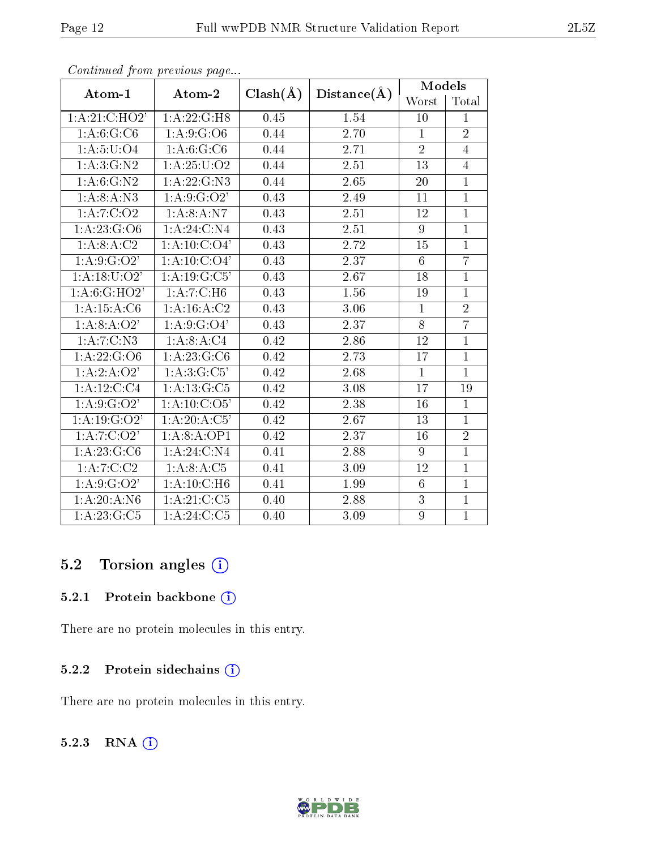| Atom-1                   | Atom-2           | $Clash(\AA)$      | Distance(A)       | Models          |                |
|--------------------------|------------------|-------------------|-------------------|-----------------|----------------|
|                          |                  |                   |                   | Worst           | Total          |
| 1:A:21:C:HO2'            | 1: A: 22: G:H8   | 0.45              | 1.54              | 10              | $\mathbf{1}$   |
| 1: A:6: G: C6            | 1: A:9: G:O6     | 0.44              | 2.70              | $\mathbf{1}$    | $\overline{2}$ |
| 1: A: 5: U: O4           | 1: A:6: G: C6    | 0.44              | 2.71              | $\overline{2}$  | $\overline{4}$ |
| 1: A:3: G:N2             | 1: A:25:U:O2     | 0.44              | 2.51              | $\overline{13}$ | $\overline{4}$ |
| 1: A:6: G:N2             | 1: A: 22: G: N3  | 0.44              | 2.65              | 20              | $\overline{1}$ |
| 1: A:8: A: N3            | 1:A:9:G:O2'      | 0.43              | 2.49              | 11              | $\overline{1}$ |
| 1: A: 7: C: O2           | 1: A:8: A: N7    | 0.43              | 2.51              | 12              | $\overline{1}$ |
| 1: A: 23: G: O6          | 1: A:24: C: N4   | 0.43              | 2.51              | 9               | $\mathbf{1}$   |
| 1: A:8:A:C2              | 1: A:10:C O4'    | 0.43              | 2.72              | 15              | $\overline{1}$ |
| 1: A:9: G:O2'            | 1: A:10: C:O4'   | 0.43              | 2.37              | 6               | $\overline{7}$ |
| 1: A: 18: U: O2'         | 1: A: 19: G: C5' | 0.43              | 2.67              | 18              | $\overline{1}$ |
| 1:A:6:GHO2'              | 1:A:7:C:H6       | 0.43              | 1.56              | 19              | $\overline{1}$ |
| $1:A:15:A:\overline{C6}$ | 1: A: 16: A: C2  | 0.43              | 3.06              | $\mathbf{1}$    | $\overline{2}$ |
| 1: A:8: A:O2'            | 1: A:9: G:O4'    | 0.43              | 2.37              | $\overline{8}$  | $\overline{7}$ |
| 1: A: 7: C: N3           | 1: A:8:A:C4      | 0.42              | 2.86              | 12              | $\mathbf{1}$   |
| 1: A: 22: G: O6          | 1: A: 23: G: C6  | 0.42              | 2.73              | 17              | $\overline{1}$ |
| 1:A:2:A:O2'              | 1: A:3: G: C5'   | 0.42              | 2.68              | $\mathbf{1}$    | $\mathbf{1}$   |
| 1: A:12:C:C4             | 1:A:13:G:C5      | $\overline{0.42}$ | $\overline{3.08}$ | 17              | 19             |
| 1: A:9: G:O2'            | 1: A:10: C:O5'   | 0.42              | 2.38              | 16              | $\mathbf{1}$   |
| 1: A: 19: G: O2'         | 1:A:20:A:C5'     | 0.42              | 2.67              | 13              | $\overline{1}$ |
| $1:A:\overline{7:C:O2'}$ | 1:A:8:A:OP1      | 0.42              | 2.37              | 16              | $\overline{2}$ |
| 1: A:23: G: C6           | 1: A:24: C: N4   | 0.41              | 2.88              | 9               | $\mathbf{1}$   |
| 1: A:7: C:C2             | 1: A:8:A:C5      | 0.41              | 3.09              | 12              | $\overline{1}$ |
| 1: A:9: G:O2'            | 1: A: 10: C: H6  | 0.41              | 1.99              | 6               | $\mathbf{1}$   |
| 1:A:20:A:N6              | 1:A:21:C:C5      | 0.40              | 2.88              | $\overline{3}$  | $\overline{1}$ |
| 1: A: 23: G: C5          | 1: A:24: C: C5   | 0.40              | 3.09              | 9               | $\overline{1}$ |

Continued from previous page...

# 5.2 Torsion angles (i)

# 5.2.1 Protein backbone (i)

There are no protein molecules in this entry.

## 5.2.2 Protein sidechains (i)

There are no protein molecules in this entry.

#### 5.2.3 RNA (i)

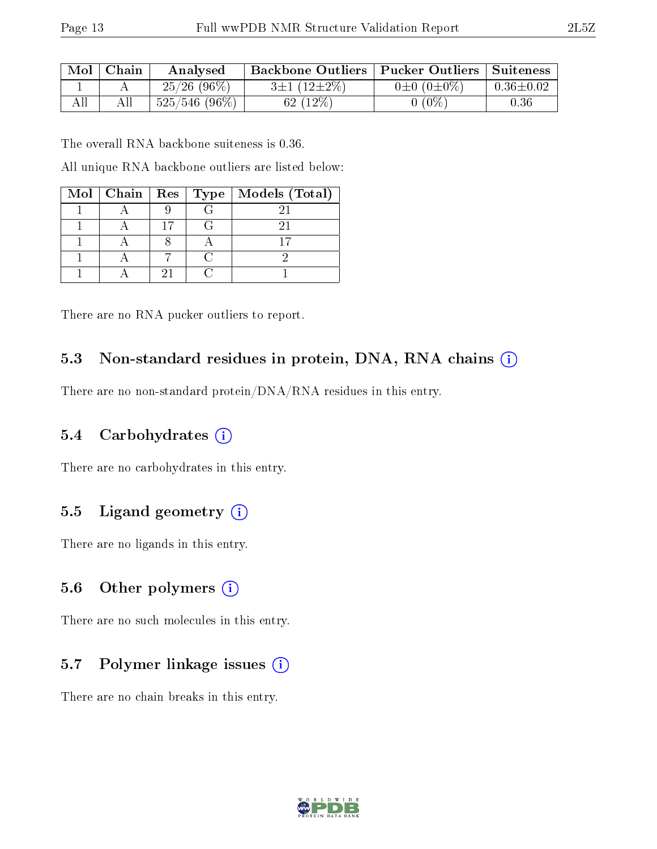| $\mid$ Mol $\mid$ Chain | Analysed         | Backbone Outliers   Pucker Outliers   Suiteness |                       |                 |
|-------------------------|------------------|-------------------------------------------------|-----------------------|-----------------|
|                         | $25/26$ (96\%)   | $3\pm1(12\pm2\%)$                               | $0\pm 0$ $(0\pm 0\%)$ | $0.36 \pm 0.02$ |
| Αll                     | $525/546$ (96\%) | 62 $(12\%)$                                     | $0(0\%)$              | 0.36            |

The overall RNA backbone suiteness is 0.36.

All unique RNA backbone outliers are listed below:

|  |  | Mol   Chain   Res   Type   Models (Total) |
|--|--|-------------------------------------------|
|  |  |                                           |
|  |  |                                           |
|  |  |                                           |
|  |  |                                           |
|  |  |                                           |

There are no RNA pucker outliers to report.

## 5.3 Non-standard residues in protein, DNA, RNA chains (i)

There are no non-standard protein/DNA/RNA residues in this entry.

#### 5.4 Carbohydrates (i)

There are no carbohydrates in this entry.

# 5.5 Ligand geometry  $(i)$

There are no ligands in this entry.

## 5.6 [O](https://www.wwpdb.org/validation/2017/NMRValidationReportHelp#nonstandard_residues_and_ligands)ther polymers (i)

There are no such molecules in this entry.

# 5.7 Polymer linkage issues (i)

There are no chain breaks in this entry.

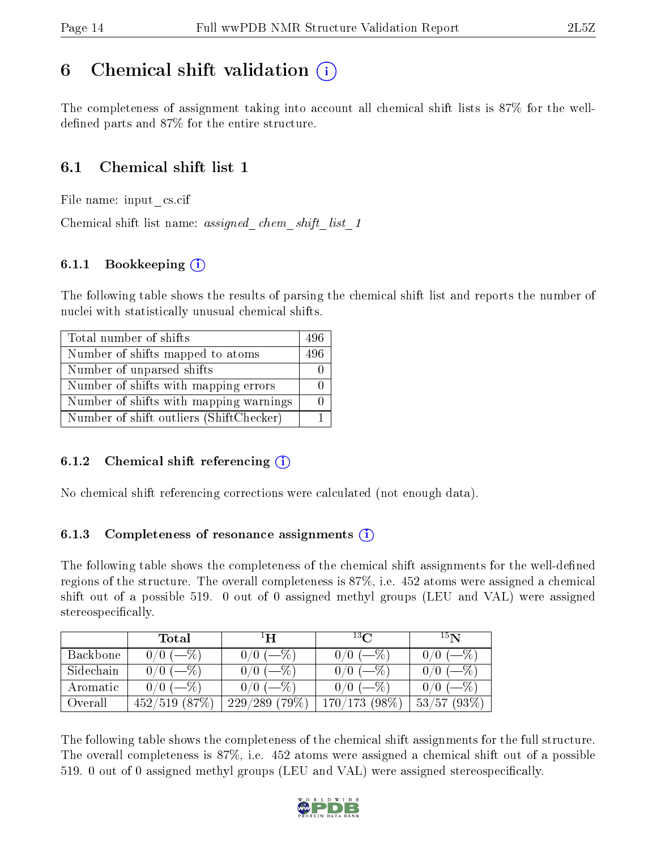# <span id="page-13-0"></span>6 Chemical shift validation  $\binom{1}{k}$

The completeness of assignment taking into account all chemical shift lists is 87% for the welldefined parts and  $87\%$  for the entire structure.

# 6.1 Chemical shift list 1

File name: input\_cs.cif

Chemical shift list name: assigned chem shift list 1

# 6.1.1 Bookkeeping (i)

The following table shows the results of parsing the chemical shift list and reports the number of nuclei with statistically unusual chemical shifts.

| Total number of shifts                  | 496 |
|-----------------------------------------|-----|
| Number of shifts mapped to atoms        | 496 |
| Number of unparsed shifts               |     |
| Number of shifts with mapping errors    |     |
| Number of shifts with mapping warnings  |     |
| Number of shift outliers (ShiftChecker) |     |

## 6.1.2 Chemical shift referencing  $(i)$

No chemical shift referencing corrections were calculated (not enough data).

## 6.1.3 Completeness of resonance assignments  $(i)$

The following table shows the completeness of the chemical shift assignments for the well-defined regions of the structure. The overall completeness is 87%, i.e. 452 atoms were assigned a chemical shift out of a possible 519. 0 out of 0 assigned methyl groups (LEU and VAL) were assigned stereospecifically.

|           | Total             | $\mathbf{H}$ | $^{13}$ C    | 15N        |
|-----------|-------------------|--------------|--------------|------------|
| Backbone  | $0/0$ (-%)        | $0/0$ (-%)   | $0/0$ (-%)   | $0/0$ (-%, |
| Sidechain | $0/0$ (-%)        | $0/0$ (-%)   | $0/0$ (-%)   | $0/0$ (-%) |
| Aromatic  | $0/0$ (-%)        | $0/0$ (-%)   | $0/0$ (-%)   | $-$ %      |
| Overall   | $452/519$ $(87%)$ | 229/289(79%) | 170/173(98%) | 53/57(93%) |

The following table shows the completeness of the chemical shift assignments for the full structure. The overall completeness is 87%, i.e. 452 atoms were assigned a chemical shift out of a possible 519. 0 out of 0 assigned methyl groups (LEU and VAL) were assigned stereospecifically.